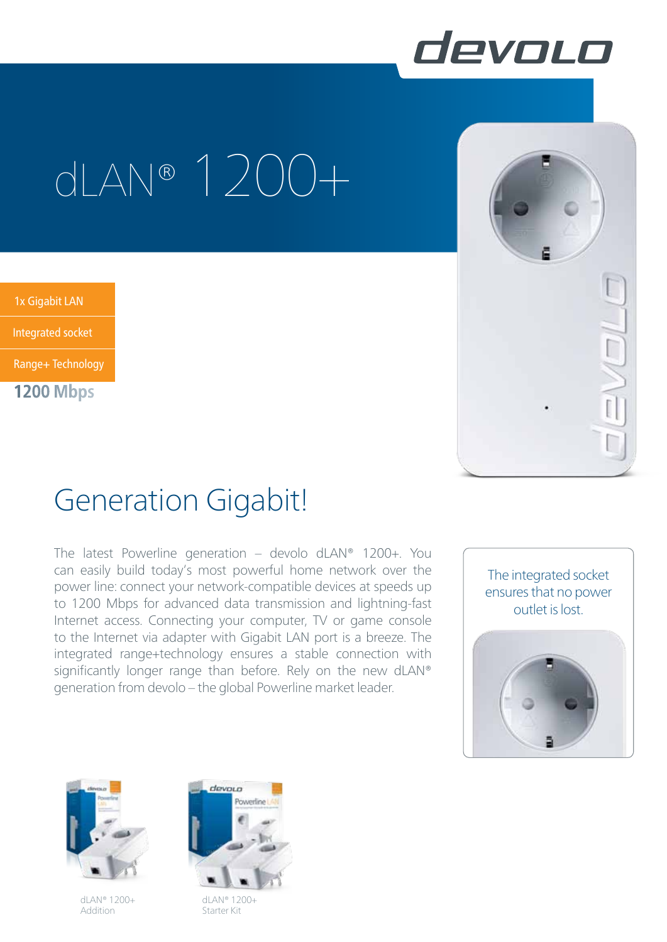

## dLAN® 1200+

1x Gigabit LAN

Integrierte Steckdose in de Steckdose in de Steckdose in de Steckdose in de Steckdose in de Steckdose in de St<br>Integrierte Steckdose in de Steckdose in de Steckdose in de Steckdose in de Steckdose in de Steckdose in de S Integrated socket

Range+ Technology

**1200 Mbps**

## Generation Gigabit!

The latest Powerline generation – devolo dLAN® 1200+. You can easily build today's most powerful home network over the power line: connect your network-compatible devices at speeds up to 1200 Mbps for advanced data transmission and lightning-fast Internet access. Connecting your computer, TV or game console to the Internet via adapter with Gigabit LAN port is a breeze. The integrated range+technology ensures a stable connection with significantly longer range than before. Rely on the new dLAN® generation from devolo – the global Powerline market leader.





dLAN® 1200+ Addition



dLAN® 1200+ Starter Kit